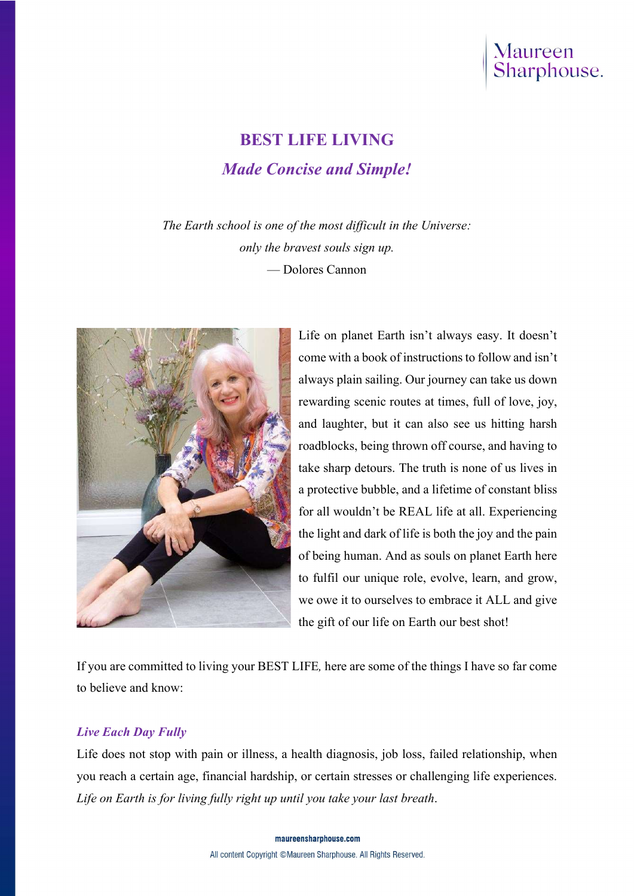

# BEST LIFE LIVING Made Concise and Simple!

The Earth school is one of the most difficult in the Universe: only the bravest souls sign up. — Dolores Cannon



Life on planet Earth isn't always easy. It doesn't come with a book of instructions to follow and isn't always plain sailing. Our journey can take us down rewarding scenic routes at times, full of love, joy, and laughter, but it can also see us hitting harsh roadblocks, being thrown off course, and having to take sharp detours. The truth is none of us lives in a protective bubble, and a lifetime of constant bliss for all wouldn't be REAL life at all. Experiencing the light and dark of life is both the joy and the pain of being human. And as souls on planet Earth here to fulfil our unique role, evolve, learn, and grow, we owe it to ourselves to embrace it ALL and give the gift of our life on Earth our best shot!

If you are committed to living your BEST LIFE, here are some of the things I have so far come to believe and know:

# Live Each Day Fully

Life does not stop with pain or illness, a health diagnosis, job loss, failed relationship, when you reach a certain age, financial hardship, or certain stresses or challenging life experiences. Life on Earth is for living fully right up until you take your last breath.

> maureensharphouse.com All content Copyright ©Maureen Sharphouse. All Rights Reserved.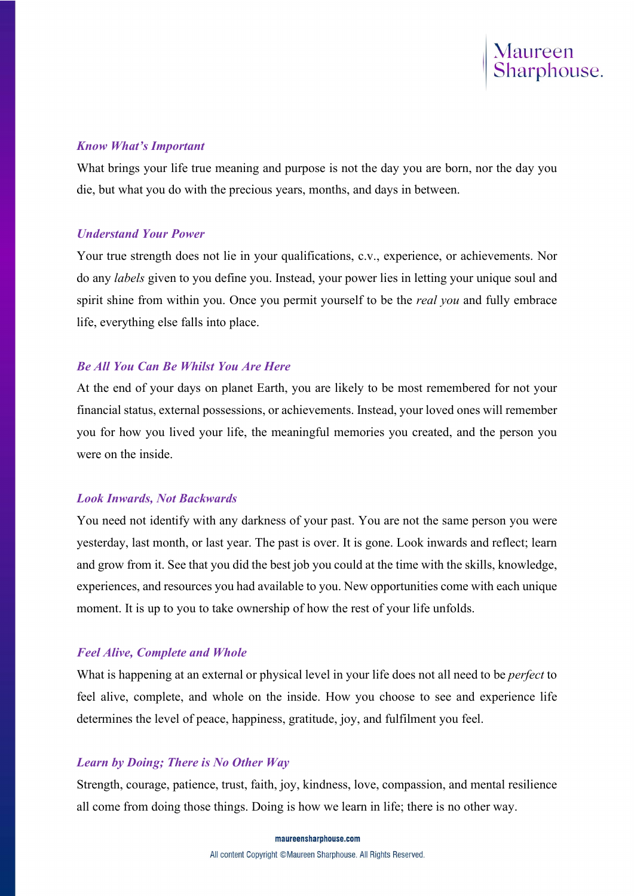

## Know What's Important

What brings your life true meaning and purpose is not the day you are born, nor the day you die, but what you do with the precious years, months, and days in between.

## Understand Your Power

Your true strength does not lie in your qualifications, c.v., experience, or achievements. Nor do any labels given to you define you. Instead, your power lies in letting your unique soul and spirit shine from within you. Once you permit yourself to be the *real you* and fully embrace life, everything else falls into place.

## Be All You Can Be Whilst You Are Here

At the end of your days on planet Earth, you are likely to be most remembered for not your financial status, external possessions, or achievements. Instead, your loved ones will remember you for how you lived your life, the meaningful memories you created, and the person you were on the inside.

## Look Inwards, Not Backwards

You need not identify with any darkness of your past. You are not the same person you were yesterday, last month, or last year. The past is over. It is gone. Look inwards and reflect; learn and grow from it. See that you did the best job you could at the time with the skills, knowledge, experiences, and resources you had available to you. New opportunities come with each unique moment. It is up to you to take ownership of how the rest of your life unfolds.

# Feel Alive, Complete and Whole

What is happening at an external or physical level in your life does not all need to be *perfect* to feel alive, complete, and whole on the inside. How you choose to see and experience life determines the level of peace, happiness, gratitude, joy, and fulfilment you feel.

# Learn by Doing; There is No Other Way

Strength, courage, patience, trust, faith, joy, kindness, love, compassion, and mental resilience all come from doing those things. Doing is how we learn in life; there is no other way.

maureensharphouse.com